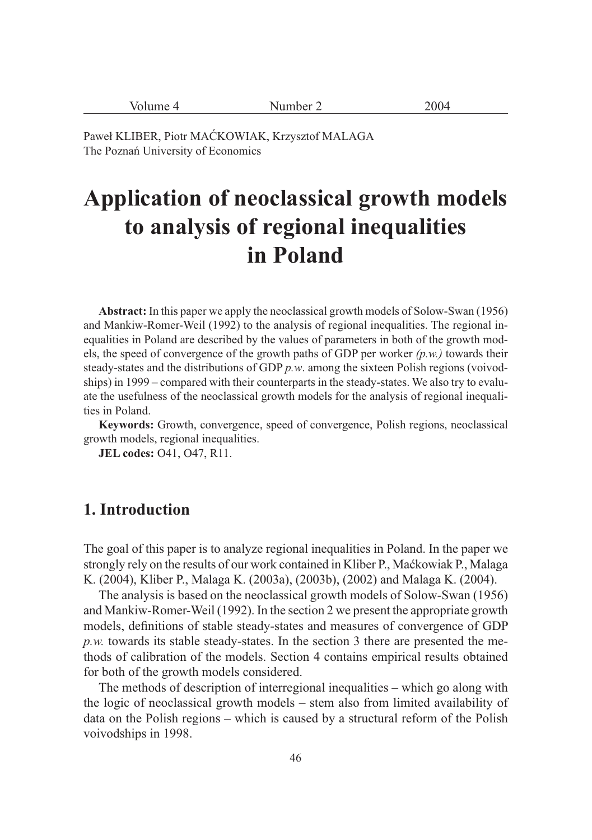| $\sim$<br>$-$<br>'∙۱<br>$\frac{1}{2}$<br>----<br>------- |
|----------------------------------------------------------|
|----------------------------------------------------------|

Paweł KLIBER, Piotr MAĆKOWIAK, Krzysztof MALAGA The Poznań University of Economics

# **Application of neoclassical growth models to analysis of regional inequalities in Poland**

**Abstract:** In this paper we apply the neoclassical growth models of Solow-Swan (1956) and Mankiw-Romer-Weil (1992) to the analysis of regional inequalities. The regional inequalities in Poland are described by the values of parameters in both of the growth models, the speed of convergence of the growth paths of GDP per worker *(p.w.)* towards their steady-states and the distributions of GDP *p.w*. among the sixteen Polish regions (voivodships) in 1999 – compared with their counterparts in the steady-states. We also try to evaluate the usefulness of the neoclassical growth models for the analysis of regional inequalities in Poland.

**Keywords:** Growth, convergence, speed of convergence, Polish regions, neoclassical growth models, regional inequalities.

**JEL codes:** O41, O47, R11.

# **1. Introduction**

The goal of this paper is to analyze regional inequalities in Poland. In the paper we strongly rely on the results of our work contained in Kliber P., Maćkowiak P., Malaga K. (2004), Kliber P., Malaga K. (2003a), (2003b), (2002) and Malaga K. (2004).

The analysis is based on the neoclassical growth models of Solow-Swan (1956) and Mankiw-Romer-Weil (1992). In the section 2 we present the appropriate growth models, definitions of stable steady-states and measures of convergence of GDP *p.w.* towards its stable steady-states. In the section 3 there are presented the methods of calibration of the models. Section 4 contains empirical results obtained for both of the growth models considered.

The methods of description of interregional inequalities – which go along with the logic of neoclassical growth models – stem also from limited availability of data on the Polish regions – which is caused by a structural reform of the Polish voivodships in 1998.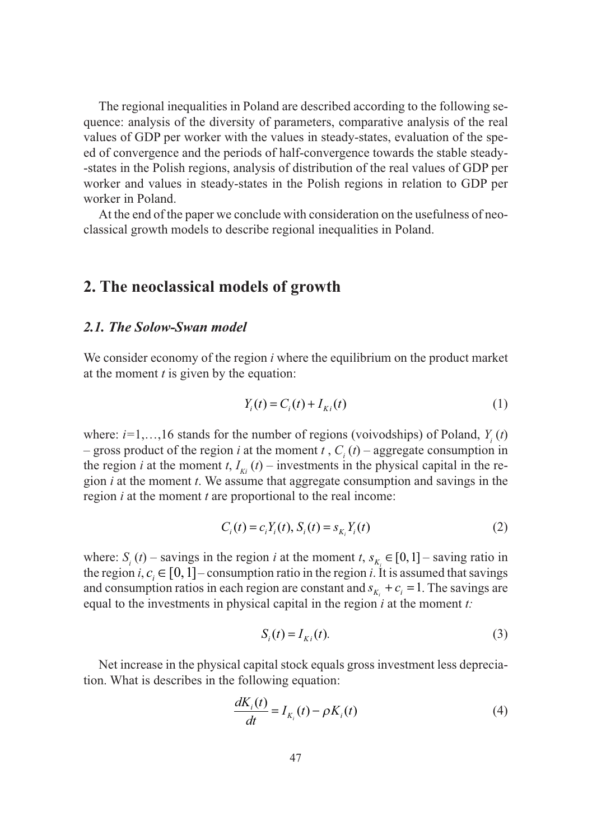The regional inequalities in Poland are described according to the following sequence: analysis of the diversity of parameters, comparative analysis of the real values of GDP per worker with the values in steady-states, evaluation of the speed of convergence and the periods of half-convergence towards the stable steady- -states in the Polish regions, analysis of distribution of the real values of GDP per worker and values in steady-states in the Polish regions in relation to GDP per worker in Poland.

At the end of the paper we conclude with consideration on the usefulness of neoclassical growth models to describe regional inequalities in Poland.

### **2. The neoclassical models of growth**

#### *2.1. The Solow-Swan model*

We consider economy of the region *i* where the equilibrium on the product market at the moment *t* is given by the equation:

$$
Y_i(t) = C_i(t) + I_{Ki}(t)
$$
 (1)

where:  $i=1,...,16$  stands for the number of regions (voivodships) of Poland,  $Y_i(t)$ – gross product of the region *i* at the moment *t*,  $C_i(t)$  – aggregate consumption in the region *i* at the moment *t*,  $I_{ki}$  (*t*) – investments in the physical capital in the region *i* at the moment *t*. We assume that aggregate consumption and savings in the region *i* at the moment *t* are proportional to the real income:

$$
C_i(t) = c_i Y_i(t), S_i(t) = s_{K_i} Y_i(t)
$$
\n(2)

where:  $S_i(t)$  – savings in the region *i* at the moment *t*,  $s_{K_i} \in [0,1]$  – saving ratio in the region *i*,  $c_i \in [0,1]$  – consumption ratio in the region *i*. It is assumed that savings and consumption ratios in each region are constant and  $s_k + c_i = 1$ . The savings are equal to the investments in physical capital in the region *i* at the moment *t:*

$$
S_i(t) = I_{Ki}(t). \tag{3}
$$

Net increase in the physical capital stock equals gross investment less depreciation. What is describes in the following equation:

$$
\frac{dK_i(t)}{dt} = I_{K_i}(t) - \rho K_i(t) \tag{4}
$$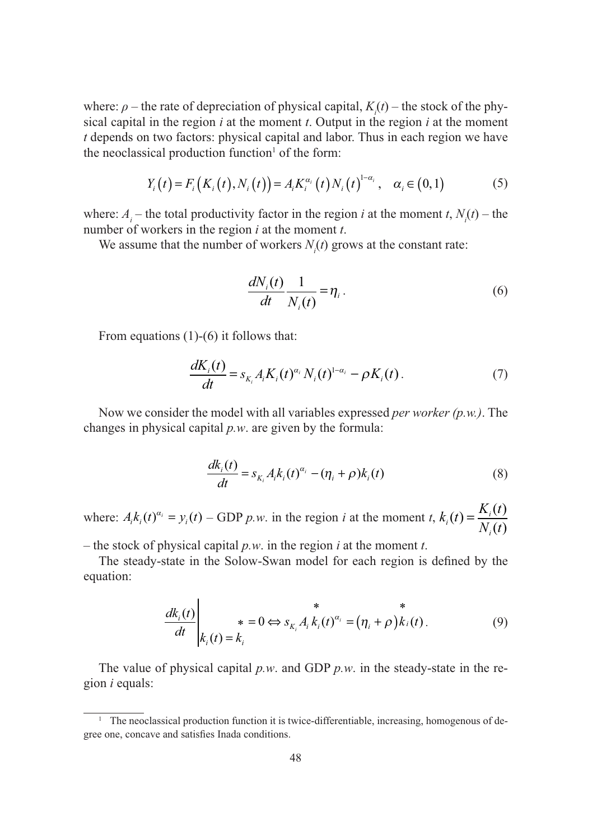where:  $\rho$  – the rate of depreciation of physical capital,  $K_i(t)$  – the stock of the physical capital in the region *i* at the moment *t*. Output in the region *i* at the moment *t* depends on two factors: physical capital and labor. Thus in each region we have the neoclassical production function $<sup>1</sup>$  of the form:</sup>

$$
Y_i(t) = F_i(K_i(t), N_i(t)) = A_i K_i^{\alpha_i}(t) N_i(t)^{1-\alpha_i}, \quad \alpha_i \in (0,1)
$$
 (5)

where:  $A_i$  – the total productivity factor in the region *i* at the moment *t*,  $N_i(t)$  – the number of workers in the region *i* at the moment *t*.

We assume that the number of workers  $N_i(t)$  grows at the constant rate:

$$
\frac{dN_i(t)}{dt}\frac{1}{N_i(t)} = \eta_i.
$$
\n(6)

From equations (1)-(6) it follows that:

$$
\frac{dK_i(t)}{dt} = s_{K_i} A_i K_i(t)^{\alpha_i} N_i(t)^{1-\alpha_i} - \rho K_i(t).
$$
\n(7)

Now we consider the model with all variables expressed *per worker (p.w.)*. The changes in physical capital *p.w*. are given by the formula:

$$
\frac{dk_i(t)}{dt} = s_{K_i} A_i k_i(t)^{\alpha_i} - (\eta_i + \rho) k_i(t)
$$
\n(8)

where:  $A_i k_i(t)^{\alpha_i} = y_i(t) - GDP p.w.$  in the region *i* at the moment *t*,  $k_i(t) = \frac{K_i(t)}{N_i(t)}$ *i*

– the stock of physical capital *p.w*. in the region *i* at the moment *t*.

The steady-state in the Solow-Swan model for each region is defined by the equation:

$$
\frac{dk_i(t)}{dt}\Bigg|_{k_i(t)=k_i} * = 0 \Leftrightarrow s_{k_i} A_i k_i(t)^{\alpha_i} = (\eta_i + \rho) k_i(t).
$$
\n(9)

The value of physical capital *p.w*. and GDP *p.w*. in the steady-state in the region *i* equals:

<sup>&</sup>lt;sup>1</sup> The neoclassical production function it is twice-differentiable, increasing, homogenous of degree one, concave and satisfies Inada conditions.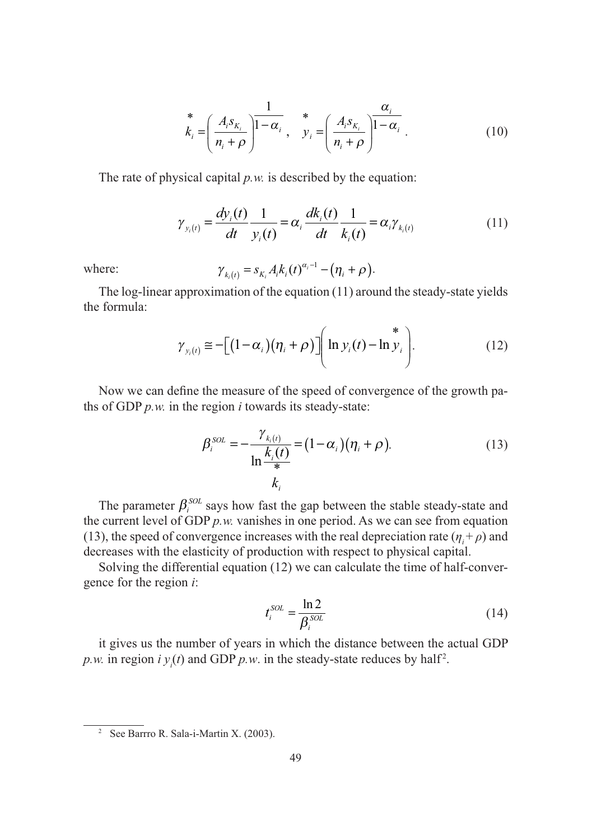$$
\stackrel{*}{k}_{i} = \left(\frac{A_{i}S_{K_{i}}}{n_{i} + \rho}\right)^{\frac{1}{1-\alpha_{i}}}, \quad \stackrel{*}{y}_{i} = \left(\frac{A_{i}S_{K_{i}}}{n_{i} + \rho}\right)^{\frac{\alpha_{i}}{1-\alpha_{i}}}.
$$
\n
$$
(10)
$$

The rate of physical capital *p.w.* is described by the equation:

$$
\gamma_{y_i(t)} = \frac{dy_i(t)}{dt} \frac{1}{y_i(t)} = \alpha_i \frac{dk_i(t)}{dt} \frac{1}{k_i(t)} = \alpha_i \gamma_{k_i(t)}
$$
(11)

where: 
$$
\gamma_{k_i(t)} = s_{K_i} A_i k_i(t)^{\alpha_i - 1} - (\eta_i + \rho).
$$

The log-linear approximation of the equation (11) around the steady-state yields the formula:

$$
\gamma_{y_i(t)} \equiv -\Big[ (1-\alpha_i)(\eta_i + \rho) \Big] \Bigg( \ln y_i(t) - \ln y_i \Bigg). \tag{12}
$$

Now we can define the measure of the speed of convergence of the growth paths of GDP *p.w.* in the region *i* towards its steady-state:

$$
\beta_i^{SOL} = -\frac{\gamma_{k_i(t)}}{\ln \frac{k_i(t)}{*}} = (1 - \alpha_i)(\eta_i + \rho).
$$
\n(13)

The parameter  $\beta_i^{SOL}$  says how fast the gap between the stable steady-state and the current level of GDP *p.w.* vanishes in one period. As we can see from equation (13), the speed of convergence increases with the real depreciation rate  $(\eta_i + \rho)$  and decreases with the elasticity of production with respect to physical capital.

Solving the differential equation (12) we can calculate the time of half-convergence for the region *i*:

$$
t_i^{SOL} = \frac{\ln 2}{\beta_i^{SOL}}\tag{14}
$$

it gives us the number of years in which the distance between the actual GDP *p.w.* in region  $i y_i(t)$  and GDP *p.w.* in the steady-state reduces by half<sup>2</sup>.

<sup>2</sup> See Barrro R. Sala-i-Martin X. (2003).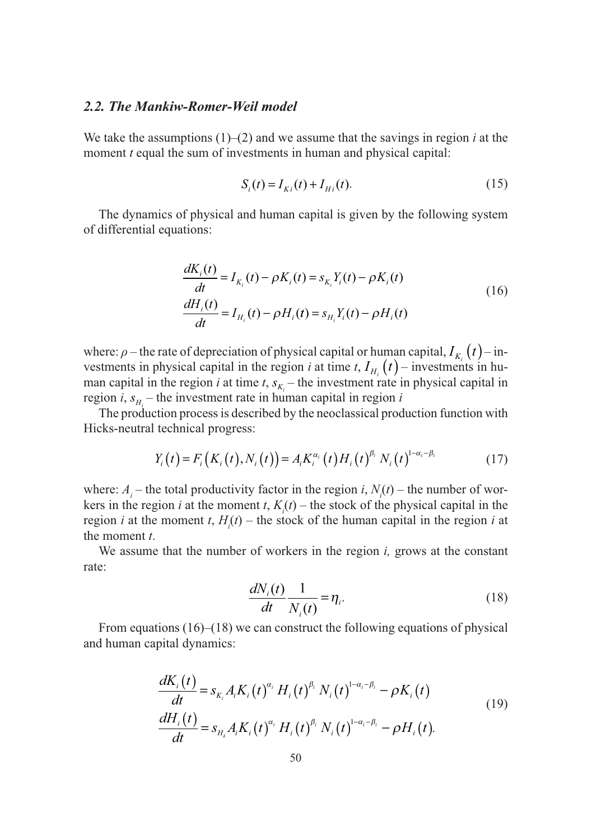#### *2.2. The Mankiw-Romer-Weil model*

We take the assumptions (1)–(2) and we assume that the savings in region *i* at the moment *t* equal the sum of investments in human and physical capital:

$$
S_i(t) = I_{Ki}(t) + I_{Hi}(t).
$$
 (15)

The dynamics of physical and human capital is given by the following system of differential equations:

$$
\frac{dK_i(t)}{dt} = I_{K_i}(t) - \rho K_i(t) = s_{K_i} Y_i(t) - \rho K_i(t)
$$
\n
$$
\frac{dH_i(t)}{dt} = I_{H_i}(t) - \rho H_i(t) = s_{H_i} Y_i(t) - \rho H_i(t)
$$
\n(16)

where:  $\rho$  – the rate of depreciation of physical capital or human capital,  $I_{K}$   $(t)$  – investments in physical capital in the region *i* at time *t*,  $I_{H_i}(t)$  – investments in human capital in the region *i* at time *t*,  $s_{K_i}$  – the investment rate in physical capital in region *i*,  $s_{H_i}$  – the investment rate in human capital in region *i* 

The production process is described by the neoclassical production function with Hicks-neutral technical progress:

$$
Y_i(t) = F_i(K_i(t), N_i(t)) = A_i K_i^{\alpha_i}(t) H_i(t)^{\beta_i} N_i(t)^{1-\alpha_i-\beta_i}
$$
(17)

where:  $A_i$  – the total productivity factor in the region *i*,  $N_i(t)$  – the number of workers in the region *i* at the moment *t*,  $K_i(t)$  – the stock of the physical capital in the region *i* at the moment *t*,  $H_i(t)$  – the stock of the human capital in the region *i* at the moment *t*.

We assume that the number of workers in the region *i,* grows at the constant rate:

$$
\frac{dN_i(t)}{dt} \frac{1}{N_i(t)} = \eta_i.
$$
\n(18)

From equations (16)–(18) we can construct the following equations of physical and human capital dynamics:

$$
\frac{dK_i(t)}{dt} = s_{K_i} A_i K_i(t)^{\alpha_i} H_i(t)^{\beta_i} N_i(t)^{1-\alpha_i-\beta_i} - \rho K_i(t) \n\frac{dH_i(t)}{dt} = s_{H_i} A_i K_i(t)^{\alpha_i} H_i(t)^{\beta_i} N_i(t)^{1-\alpha_i-\beta_i} - \rho H_i(t).
$$
\n(19)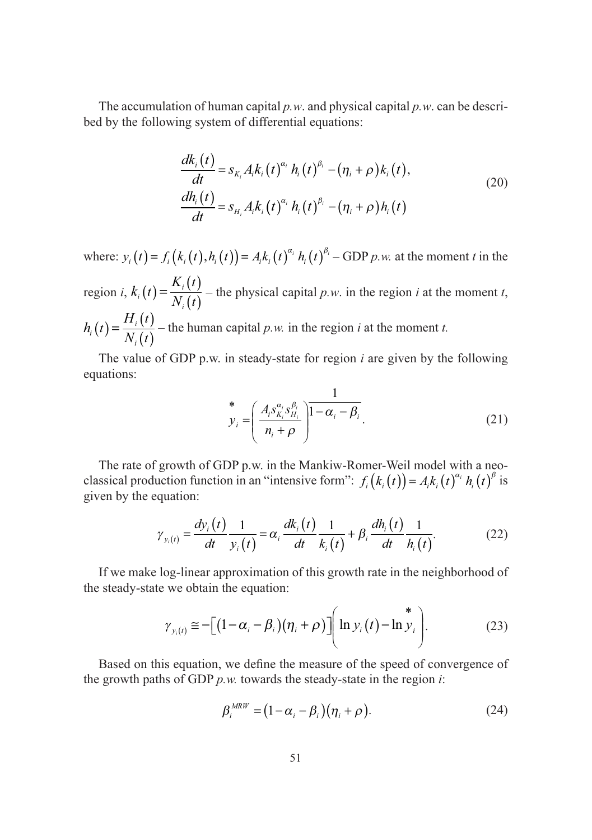The accumulation of human capital *p.w*. and physical capital *p.w*. can be described by the following system of differential equations:

$$
\frac{dk_i(t)}{dt} = s_{K_i} A_i k_i(t)^{\alpha_i} h_i(t)^{\beta_i} - (\eta_i + \rho) k_i(t),
$$
\n
$$
\frac{dh_i(t)}{dt} = s_{H_i} A_i k_i(t)^{\alpha_i} h_i(t)^{\beta_i} - (\eta_i + \rho) h_i(t)
$$
\n(20)

where:  $y_i(t) = f_i(k_i(t), h_i(t)) = A_i k_i(t)^{\alpha_i} h_i(t)^{\beta_i} - GDP p w$ . at the moment *t* in the region *i*,  $k_i(t) = \frac{K}{N}$  $\frac{N_i}{N_i}(t) = \frac{N_i}{N_i}$ *i*  $t(t) = \frac{K_i(t)}{N_i(t)}$  – the physical capital *p.w.* in the region *i* at the moment *t*,  $h_i(t) = \frac{H}{2}$  $P_i(t) = \frac{H_i}{N_i}$ *i*  $t(t) = \frac{H_i(t)}{N_i(t)}$  – the human capital *p.w.* in the region *i* at the moment *t.* 

The value of GDP p.w. in steady-state for region *i* are given by the following equations:

$$
\stackrel{*}{\mathcal{Y}}_{i} = \left(\frac{A_{i} S_{K_{i}}^{\alpha_{i}} S_{H_{i}}^{\beta_{i}}}{n_{i} + \rho}\right) \stackrel{1}{1 - \alpha_{i} - \beta_{i}}.
$$
\n(21)

The rate of growth of GDP p.w. in the Mankiw-Romer-Weil model with a neoclassical production function in an "intensive form":  $f_i(k_i(t)) = A_i k_i(t)^{\alpha_i} h_i(t)^{\beta}$  is given by the equation:

$$
\gamma_{y_i(t)} = \frac{dy_i(t)}{dt} \frac{1}{y_i(t)} = \alpha_i \frac{dk_i(t)}{dt} \frac{1}{k_i(t)} + \beta_i \frac{dh_i(t)}{dt} \frac{1}{h_i(t)}.
$$
(22)

If we make log-linear approximation of this growth rate in the neighborhood of the steady-state we obtain the equation:

$$
\gamma_{y_i(t)} \approx -\Big[ \big(1-\alpha_i-\beta_i\big)\big(\eta_i+\rho\big)\Big] \Bigg( \ln y_i\big(t\big)-\ln y_i\Bigg). \hspace{1cm} (23)
$$

Based on this equation, we define the measure of the speed of convergence of the growth paths of GDP *p.w.* towards the steady-state in the region *i*:

$$
\beta_i^{MRW} = (1 - \alpha_i - \beta_i)(\eta_i + \rho). \tag{24}
$$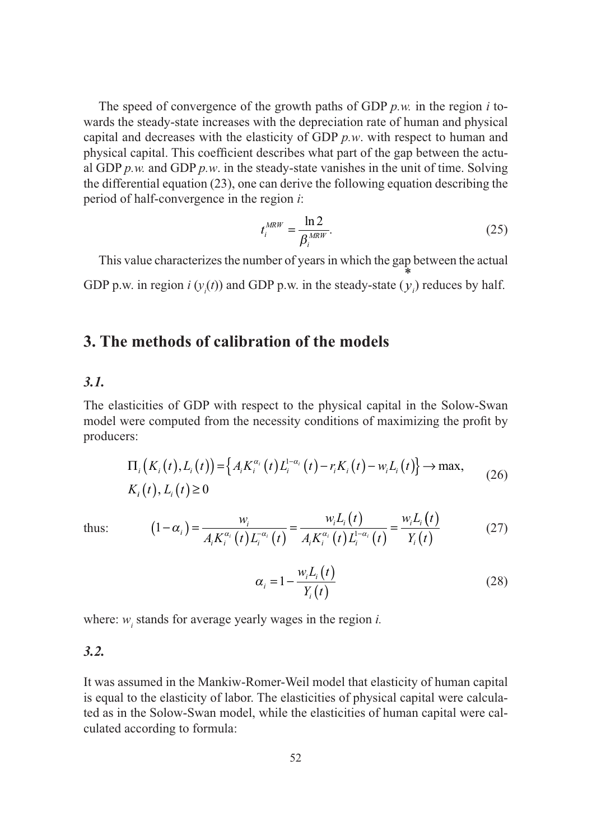The speed of convergence of the growth paths of GDP *p.w.* in the region *i* towards the steady-state increases with the depreciation rate of human and physical capital and decreases with the elasticity of GDP *p.w*. with respect to human and physical capital. This coefficient describes what part of the gap between the actual GDP  $p.w$  and GDP  $p.w$  in the steady-state vanishes in the unit of time. Solving the differential equation (23), one can derive the following equation describing the period of half-convergence in the region *i*:

$$
t_i^{MRW} = \frac{\ln 2}{\beta_i^{MRW}}.\tag{25}
$$

This value characterizes the number of years in which the gap between the actual GDP p.w. in region  $i \left( y_i(t) \right)$  and GDP p.w. in the steady-state ( $y_i$ \* ) reduces by half.

# **3. The methods of calibration of the models**

#### *3.1.*

The elasticities of GDP with respect to the physical capital in the Solow-Swan model were computed from the necessity conditions of maximizing the profit by producers:

$$
\Pi_{i}\big(K_{i}(t),L_{i}(t)\big) = \Big\{A_{i}K_{i}^{\alpha_{i}}(t)L_{i}^{1-\alpha_{i}}(t) - r_{i}K_{i}(t) - w_{i}L_{i}(t)\Big\} \to \max, \tag{26}
$$
\n
$$
K_{i}(t), L_{i}(t) \ge 0
$$

thus: 
$$
(1 - \alpha_i) = \frac{w_i}{A_i K_i^{\alpha_i}(t) L_i^{-\alpha_i}(t)} = \frac{w_i L_i(t)}{A_i K_i^{\alpha_i}(t) L_i^{1 - \alpha_i}(t)} = \frac{w_i L_i(t)}{Y_i(t)}
$$
(27)

$$
\alpha_i = 1 - \frac{w_i L_i(t)}{Y_i(t)}
$$
\n(28)

where:  $w_i$  stands for average yearly wages in the region *i*.

#### *3.2.*

It was assumed in the Mankiw-Romer-Weil model that elasticity of human capital is equal to the elasticity of labor. The elasticities of physical capital were calculated as in the Solow-Swan model, while the elasticities of human capital were calculated according to formula: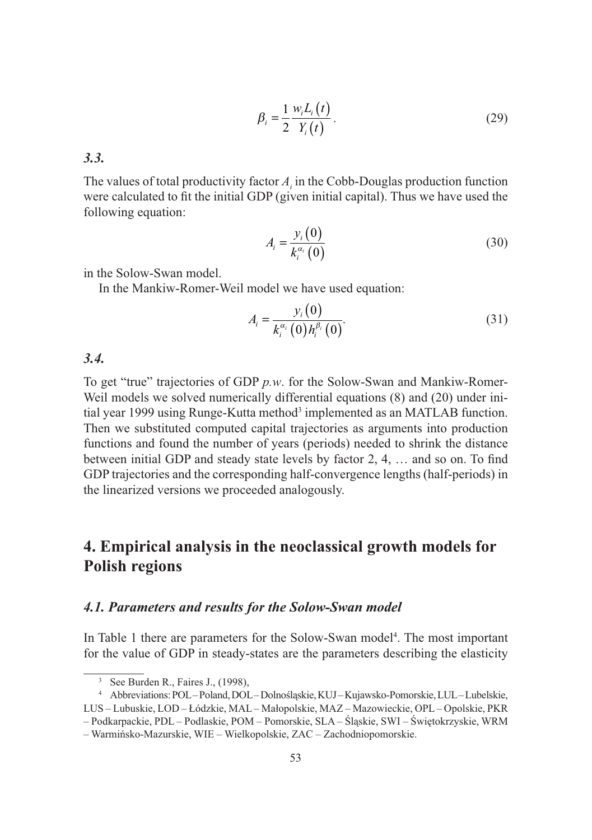$$
\beta_i = \frac{1}{2} \frac{w_i L_i(t)}{Y_i(t)}.
$$
\n(29)

*3.3.*

The values of total productivity factor  $A_i$  in the Cobb-Douglas production function were calculated to fit the initial GDP (given initial capital). Thus we have used the following equation:

$$
A_i = \frac{y_i(0)}{k_i^{\alpha_i}(0)}\tag{30}
$$

in the Solow-Swan model.

In the Mankiw-Romer-Weil model we have used equation:

$$
A_{i} = \frac{y_{i}(0)}{k_{i}^{\alpha_{i}}(0)h_{i}^{\beta_{i}}(0)}.
$$
 (31)

#### *3.4.*

To get "true" trajectories of GDP *p.w*. for the Solow-Swan and Mankiw-Romer-Weil models we solved numerically differential equations (8) and (20) under initial year 1999 using Runge-Kutta method<sup>3</sup> implemented as an MATLAB function. Then we substituted computed capital trajectories as arguments into production functions and found the number of years (periods) needed to shrink the distance between initial GDP and steady state levels by factor 2, 4, … and so on. To find GDP trajectories and the corresponding half-convergence lengths (half-periods) in the linearized versions we proceeded analogously.

# **4. Empirical analysis in the neoclassical growth models for Polish regions**

#### *4.1. Parameters and results for the Solow-Swan model*

In Table 1 there are parameters for the Solow-Swan model<sup>4</sup>. The most important for the value of GDP in steady-states are the parameters describing the elasticity

<sup>3</sup> See Burden R., Faires J., (1998),

<sup>4</sup> Abbreviations: POL – Poland, DOL – Dolnośląskie, KUJ – Kujawsko-Pomorskie, LUL – Lubelskie, LUS – Lubuskie, LOD – Łódzkie, MAL – Małopolskie, MAZ – Mazowieckie, OPL – Opolskie, PKR

<sup>–</sup> Podkarpackie, PDL – Podlaskie, POM – Pomorskie, SLA – Śląskie, SWI – Świętokrzyskie, WRM

<sup>–</sup> Warmińsko-Mazurskie, WIE – Wielkopolskie, ZAC – Zachodniopomorskie.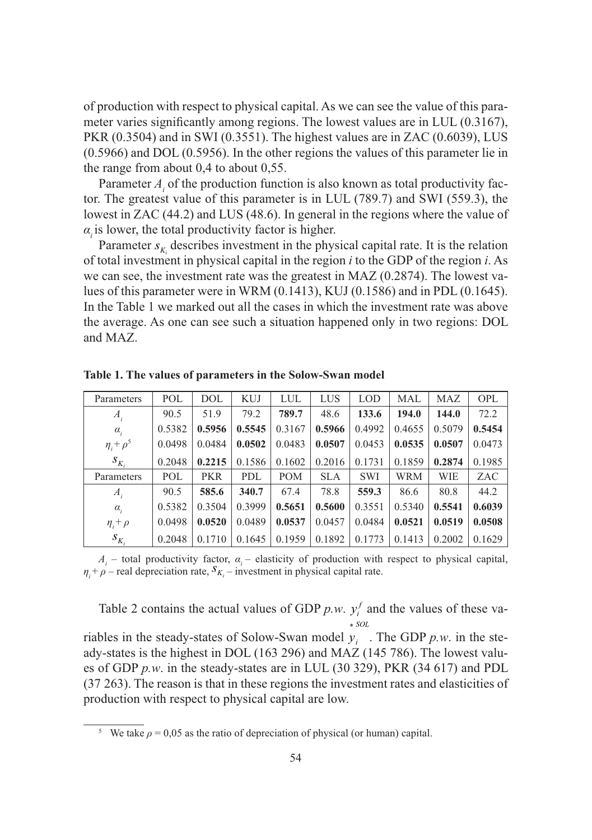of production with respect to physical capital. As we can see the value of this parameter varies significantly among regions. The lowest values are in LUL (0.3167), PKR (0.3504) and in SWI (0.3551). The highest values are in ZAC (0.6039), LUS (0.5966) and DOL (0.5956). In the other regions the values of this parameter lie in the range from about 0,4 to about 0,55.

Parameter  $A_i$  of the production function is also known as total productivity factor. The greatest value of this parameter is in LUL (789.7) and SWI (559.3), the lowest in ZAC (44.2) and LUS (48.6). In general in the regions where the value of  $\alpha$ <sub>i</sub> is lower, the total productivity factor is higher.

Parameter  $s_{K_i}$  describes investment in the physical capital rate. It is the relation of total investment in physical capital in the region *i* to the GDP of the region *i*. As we can see, the investment rate was the greatest in MAZ (0.2874). The lowest values of this parameter were in WRM (0.1413), KUJ (0.1586) and in PDL (0.1645). In the Table 1 we marked out all the cases in which the investment rate was above the average. As one can see such a situation happened only in two regions: DOL and MAZ.

| Parameters        | POL    | <b>DOL</b> | <b>KUJ</b> | LUL        | LUS        | <b>LOD</b> | <b>MAL</b> | <b>MAZ</b> | <b>OPL</b> |
|-------------------|--------|------------|------------|------------|------------|------------|------------|------------|------------|
| $A_i$             | 90.5   | 51.9       | 79.2       | 789.7      | 48.6       | 133.6      | 194.0      | 144.0      | 72.2       |
| $\alpha_{i}$      | 0.5382 | 0.5956     | 0.5545     | 0.3167     | 0.5966     | 0.4992     | 0.4655     | 0.5079     | 0.5454     |
| $\eta_i + \rho^5$ | 0.0498 | 0.0484     | 0.0502     | 0.0483     | 0.0507     | 0.0453     | 0.0535     | 0.0507     | 0.0473     |
| $S_{K_i}$         | 0.2048 | 0.2215     | 0.1586     | 0.1602     | 0.2016     | 0.1731     | 0.1859     | 0.2874     | 0.1985     |
| Parameters        | POL    | <b>PKR</b> | PDL        | <b>POM</b> | <b>SLA</b> | <b>SWI</b> | <b>WRM</b> | WIE        | ZAC        |
| $A_i$             | 90.5   | 585.6      | 340.7      | 67.4       | 78.8       | 559.3      | 86.6       | 80.8       | 44.2       |
| $\alpha_i$        | 0.5382 | 0.3504     | 0.3999     | 0.5651     | 0.5600     | 0.3551     | 0.5340     | 0.5541     | 0.6039     |
| $\eta_i + \rho$   | 0.0498 | 0.0520     | 0.0489     | 0.0537     | 0.0457     | 0.0484     | 0.0521     | 0.0519     | 0.0508     |
| $S_{K_i}$         | 0.2048 | 0.1710     | 0.1645     | 0.1959     | 0.1892     | 0.1773     | 0.1413     | 0.2002     | 0.1629     |

**Table 1. The values of parameters in the Solow-Swan model**

 $A_i$  – total productivity factor,  $\alpha_i$  – elasticity of production with respect to physical capital, *n<sub>i</sub>* + *ρ* – real depreciation rate,  $S_{K_i}$  – investment in physical capital rate.

Table 2 contains the actual values of GDP  $p.w. y_i^f$  and the values of these va- $\sim$  *SOL* 

riables in the steady-states of Solow-Swan model  $y_i$ . The GDP  $p.w$ . in the steady-states is the highest in DOL (163 296) and MAZ (145 786). The lowest values of GDP *p.w*. in the steady-states are in LUL (30 329), PKR (34 617) and PDL (37 263). The reason is that in these regions the investment rates and elasticities of production with respect to physical capital are low.

<sup>&</sup>lt;sup>5</sup> We take  $\rho = 0.05$  as the ratio of depreciation of physical (or human) capital.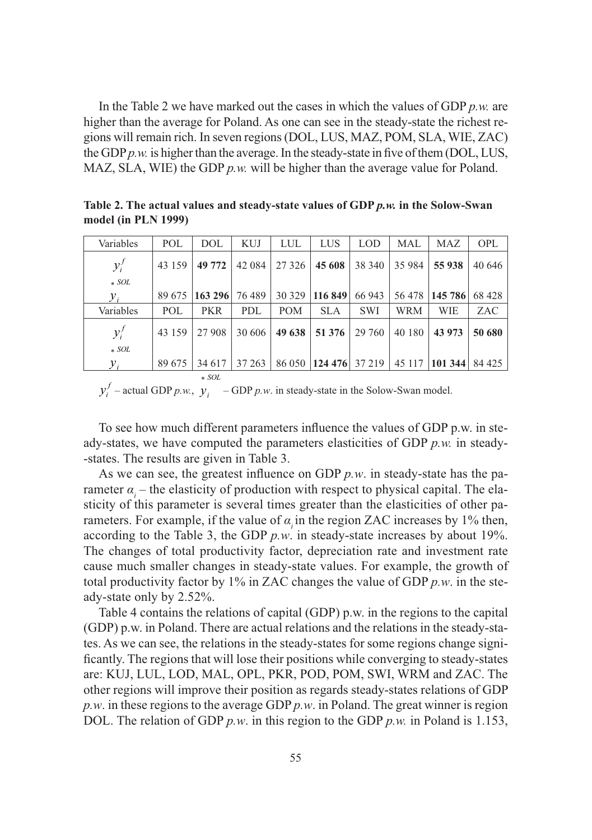In the Table 2 we have marked out the cases in which the values of GDP *p.w.* are higher than the average for Poland. As one can see in the steady-state the richest regions will remain rich. In seven regions (DOL, LUS, MAZ, POM, SLA, WIE, ZAC) the GDP *p.w.* is higher than the average. In the steady-state in five of them (DOL, LUS, MAZ, SLA, WIE) the GDP *p.w.* will be higher than the average value for Poland.

**Table 2. The actual values and steady-state values of GDP** *p.w.* **in the Solow-Swan model (in PLN 1999)**

| Variables        | POL    | DOL        | <b>KUJ</b> | LUL     | LUS                   | <b>LOD</b> | MAL     | MAZ      | <b>OPL</b> |
|------------------|--------|------------|------------|---------|-----------------------|------------|---------|----------|------------|
| $y_i^f$          | 43 159 | 49 772     | 42 0 84    | 27 3 26 | 45 608                | 38 340     | 35 9 84 | 55 938   | 40 646     |
| $* SOL$          |        |            |            |         |                       |            |         |          |            |
| ${\mathcal V}_i$ | 89 675 | 163 296    | 76 489     | 30 329  | 116 849               | 66 943     | 56 478  | 145, 786 | 68428      |
| Variables        | POL    | <b>PKR</b> | PDL        | POM     | <b>SLA</b>            | <b>SWI</b> | WRM     | WIE      | ZAC        |
| $y_i^f$          | 43 159 | 27 908     | 30 606     | 49 638  | 51 376                | 29 760     | 40 180  | 43 973   | 50 680     |
| $*$ SOL          |        |            |            |         |                       |            |         |          |            |
| $y_i$            | 89 675 | 34 617     | 37 263     |         | 86 050 124 476 37 219 |            | 45 117  | 101344   | 84 425     |
|                  |        | $\ast$ SOL |            |         |                       |            |         |          |            |

 $y_i^f$  – actual GDP *p.w.*,  $y_i$  – GDP *p.w.* in steady-state in the Solow-Swan model.

To see how much different parameters influence the values of GDP p.w. in steady-states, we have computed the parameters elasticities of GDP *p.w.* in steady- -states. The results are given in Table 3.

As we can see, the greatest influence on GDP *p.w*. in steady-state has the parameter  $\alpha_i$  – the elasticity of production with respect to physical capital. The elasticity of this parameter is several times greater than the elasticities of other parameters. For example, if the value of  $\alpha$  in the region ZAC increases by 1% then, according to the Table 3, the GDP *p.w*. in steady-state increases by about 19%. The changes of total productivity factor, depreciation rate and investment rate cause much smaller changes in steady-state values. For example, the growth of total productivity factor by 1% in ZAC changes the value of GDP *p.w*. in the steady-state only by 2.52%.

Table 4 contains the relations of capital (GDP) p.w. in the regions to the capital (GDP) p.w. in Poland. There are actual relations and the relations in the steady-states. As we can see, the relations in the steady-states for some regions change significantly. The regions that will lose their positions while converging to steady-states are: KUJ, LUL, LOD, MAL, OPL, PKR, POD, POM, SWI, WRM and ZAC. The other regions will improve their position as regards steady-states relations of GDP *p.w*. in these regions to the average GDP *p.w*. in Poland. The great winner is region DOL. The relation of GDP *p.w*. in this region to the GDP *p.w.* in Poland is 1.153,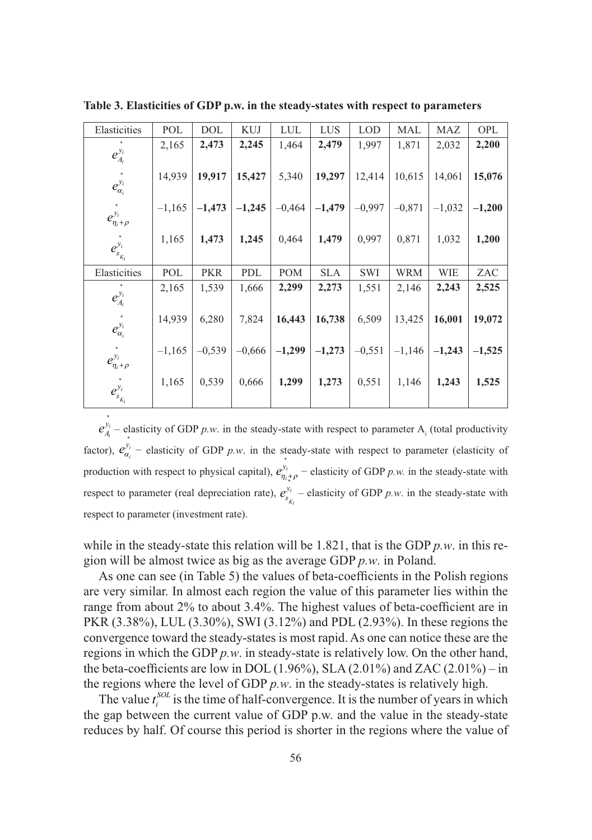| Elasticities            | POL      | <b>DOL</b> | <b>KUJ</b> | LUL        | LUS        | <b>LOD</b> | MAL        | MAZ        | OPL      |
|-------------------------|----------|------------|------------|------------|------------|------------|------------|------------|----------|
| $e_{A_i}^{y_i}$         | 2,165    | 2,473      | 2,245      | 1,464      | 2,479      | 1,997      | 1,871      | 2,032      | 2,200    |
| $e_{\alpha_i}^{y_i}$    | 14,939   | 19,917     | 15,427     | 5,340      | 19,297     | 12,414     | 10,615     | 14,061     | 15,076   |
| $e_{\eta_i+\rho}^{y_i}$ | $-1,165$ | $-1,473$   | $-1,245$   | $-0,464$   | $-1,479$   | $-0.997$   | $-0,871$   | $-1,032$   | $-1,200$ |
| $e_{s_{K_i}}^{y_i}$     | 1,165    | 1,473      | 1,245      | 0,464      | 1,479      | 0,997      | 0,871      | 1,032      | 1,200    |
| Elasticities            | POL      | <b>PKR</b> | PDL        | <b>POM</b> | <b>SLA</b> | SWI        | <b>WRM</b> | <b>WIE</b> | ZAC      |
| $e_{A_i}^{y_i}$         | 2,165    | 1,539      | 1,666      | 2,299      | 2,273      | 1,551      | 2,146      | 2,243      | 2,525    |
| $e_{\alpha_i}^{y_i}$    | 14,939   | 6,280      | 7,824      | 16,443     | 16,738     | 6,509      | 13,425     | 16,001     | 19,072   |
| $e_{\eta_i+\rho}^{y_i}$ | $-1,165$ | $-0.539$   | $-0,666$   | $-1,299$   | $-1,273$   | $-0.551$   | $-1,146$   | $-1,243$   | $-1,525$ |
| $e_{s_{K_i}}^{y_i}$     | 1,165    | 0,539      | 0,666      | 1,299      | 1,273      | 0,551      | 1,146      | 1,243      | 1,525    |

**Table 3. Elasticities of GDP p.w. in the steady-states with respect to parameters**

 $e^{\mathcal{Y}}_A$ <sup>*i*</sup><sub>*i*</sub> – elasticity of GDP *p.w.* in the steady-state with respect to parameter A<sub>i</sub> (total productivity factor),  $e_{\alpha_i}^{y_i}$  – elasticity of GDP *p.w.* in the steady-state with respect to parameter (elasticity of production with respect to physical capital),  $e_{\eta_i+\rho}^{y_i}$ <sup>\*</sup> $\int_{h_*^+\rho}^{h_i^+}$  – elasticity of GDP *p.w.* in the steady-state with respect to parameter (real depreciation rate),  $e_s^y$ *Ki*  $\hat{I}$  – elasticity of GDP *p.w.* in the steady-state with respect to parameter (investment rate).

while in the steady-state this relation will be 1.821, that is the GDP *p.w*. in this region will be almost twice as big as the average GDP *p.w*. in Poland.

As one can see (in Table 5) the values of beta-coefficients in the Polish regions are very similar. In almost each region the value of this parameter lies within the range from about 2% to about 3.4%. The highest values of beta-coefficient are in PKR (3.38%), LUL (3.30%), SWI (3.12%) and PDL (2.93%). In these regions the convergence toward the steady-states is most rapid. As one can notice these are the regions in which the GDP *p.w*. in steady-state is relatively low. On the other hand, the beta-coefficients are low in DOL  $(1.96\%)$ , SLA  $(2.01\%)$  and ZAC  $(2.01\%)$  – in the regions where the level of GDP *p.w*. in the steady-states is relatively high.

The value  $t_i^{SOL}$  is the time of half-convergence. It is the number of years in which the gap between the current value of GDP p.w. and the value in the steady-state reduces by half. Of course this period is shorter in the regions where the value of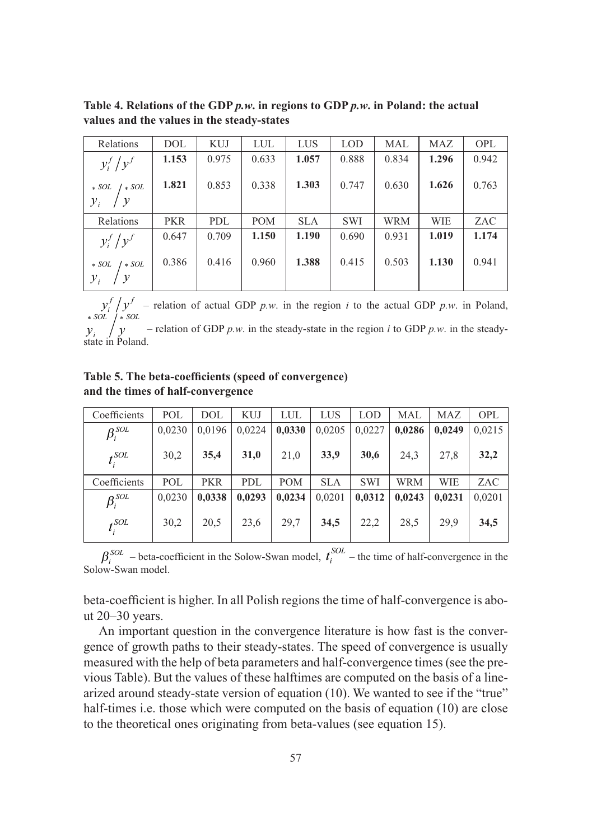**Table 4. Relations of the GDP** *p.w***. in regions to GDP** *p.w***. in Poland: the actual values and the values in the steady-states**

| Relations                                                                                                        | <b>DOL</b> | <b>KUJ</b> | <b>LUL</b> | <b>LUS</b> | <b>LOD</b> | <b>MAL</b> | MAZ   | <b>OPL</b> |
|------------------------------------------------------------------------------------------------------------------|------------|------------|------------|------------|------------|------------|-------|------------|
| $y_i^f/y^f$                                                                                                      | 1.153      | 0.975      | 0.633      | 1.057      | 0.888      | 0.834      | 1.296 | 0.942      |
| $\begin{array}{c}\n * \text{ } SOL \\ y_i\n \end{array}\n \begin{array}{c}\n * \text{ }SQL \\ y_i\n \end{array}$ | 1.821      | 0.853      | 0.338      | 1.303      | 0.747      | 0.630      | 1.626 | 0.763      |
|                                                                                                                  |            |            |            |            |            |            |       |            |
| Relations                                                                                                        | <b>PKR</b> | <b>PDL</b> | <b>POM</b> | <b>SLA</b> | <b>SWI</b> | <b>WRM</b> | WIE   | ZAC        |
| $y_i^f/y^f$                                                                                                      | 0.647      | 0.709      | 1.150      | 1.190      | 0.690      | 0.931      | 1.019 | 1.174      |
| $\ast$ SOL $\big/$ $\ast$ SOL                                                                                    | 0.386      | 0.416      | 0.960      | 1.388      | 0.415      | 0.503      | 1.130 | 0.941      |
| $y_i$                                                                                                            |            |            |            |            |            |            |       |            |

 $y_i^f / y^f$  – relation of actual GDP *p.w.* in the region *i* to the actual GDP *p.w.* in Poland, *SOL SOL* \* \*

 $y_i$  /  $y_i$  – relation of GDP *p.w.* in the steady-state in the region *i* to GDP *p.w.* in the steadystate in Poland.

**Table 5. The beta-coefficients (speed of convergence) and the times of half-convergence**

| Coefficients             | POL    | DOL        | <b>KUJ</b> | LUL        | LUS        | <b>LOD</b> | MAL        | MAZ    | <b>OPL</b> |
|--------------------------|--------|------------|------------|------------|------------|------------|------------|--------|------------|
| $\beta_i^{\textit{SOL}}$ | 0.0230 | 0.0196     | 0.0224     | 0,0330     | 0,0205     | 0.0227     | 0,0286     | 0.0249 | 0,0215     |
| $t_i^{SOL}$              | 30,2   | 35,4       | 31,0       | 21,0       | 33,9       | 30,6       | 24,3       | 27,8   | 32,2       |
| Coefficients             | POL    | <b>PKR</b> | PDL        | <b>POM</b> | <b>SLA</b> | <b>SWI</b> | <b>WRM</b> | WIE    | ZAC        |
| $\beta$ <sup>SOL</sup>   | 0,0230 | 0,0338     | 0,0293     | 0,0234     | 0,0201     | 0,0312     | 0,0243     | 0,0231 | 0,0201     |
| $t_i^{\textit{SOL}}$     | 30,2   | 20,5       | 23,6       | 29,7       | 34,5       | 22,2       | 28,5       | 29,9   | 34,5       |

 $\beta_i^{SOL}$  – beta-coefficient in the Solow-Swan model,  $t_i^{SOL}$  – the time of half-convergence in the Solow-Swan model.

beta-coefficient is higher. In all Polish regions the time of half-convergence is about 20–30 years.

An important question in the convergence literature is how fast is the convergence of growth paths to their steady-states. The speed of convergence is usually measured with the help of beta parameters and half-convergence times (see the previous Table). But the values of these halftimes are computed on the basis of a linearized around steady-state version of equation (10). We wanted to see if the "true" half-times i.e. those which were computed on the basis of equation (10) are close to the theoretical ones originating from beta-values (see equation 15).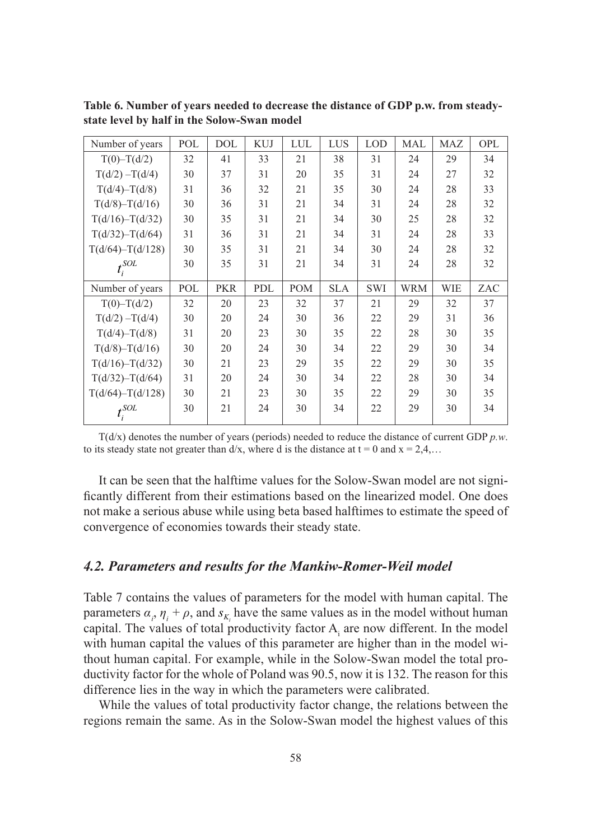| Number of years      | POL | DOL        | <b>KUJ</b> | LUL | LUS        | <b>LOD</b> | MAL        | MAZ | OPL |
|----------------------|-----|------------|------------|-----|------------|------------|------------|-----|-----|
| $T(0) - T(d/2)$      | 32  | 41         | 33         | 21  | 38         | 31         | 24         | 29  | 34  |
| $T(d/2) - T(d/4)$    | 30  | 37         | 31         | 20  | 35         | 31         | 24         | 27  | 32  |
| $T(d/4) - T(d/8)$    | 31  | 36         | 32         | 21  | 35         | 30         | 24         | 28  | 33  |
| $T(d/8) - T(d/16)$   | 30  | 36         | 31         | 21  | 34         | 31         | 24         | 28  | 32  |
| $T(d/16) - T(d/32)$  | 30  | 35         | 31         | 21  | 34         | 30         | 25         | 28  | 32  |
| $T(d/32) - T(d/64)$  | 31  | 36         | 31         | 21  | 34         | 31         | 24         | 28  | 33  |
| $T(d/64) - T(d/128)$ | 30  | 35         | 31         | 21  | 34         | 30         | 24         | 28  | 32  |
| $t_i^{\text{SOL}}$   | 30  | 35         | 31         | 21  | 34         | 31         | 24         | 28  | 32  |
| Number of years      | POL | <b>PKR</b> | PDL        | POM | <b>SLA</b> | <b>SWI</b> | <b>WRM</b> | WIE | ZAC |
| $T(0) - T(d/2)$      | 32  | 20         | 23         | 32  | 37         | 21         | 29         | 32  | 37  |
| $T(d/2) - T(d/4)$    | 30  | 20         | 24         | 30  | 36         | 22         | 29         | 31  | 36  |
| $T(d/4) - T(d/8)$    | 31  | 20         | 23         | 30  | 35         | 22         | 28         | 30  | 35  |
| $T(d/8) - T(d/16)$   | 30  | 20         | 24         | 30  | 34         | 22         | 29         | 30  | 34  |
| $T(d/16) - T(d/32)$  | 30  | 21         | 23         | 29  | 35         | 22         | 29         | 30  | 35  |
| $T(d/32) - T(d/64)$  | 31  | 20         | 24         | 30  | 34         | 22         | 28         | 30  | 34  |
| $T(d/64) - T(d/128)$ | 30  | 21         | 23         | 30  | 35         | 22         | 29         | 30  | 35  |
| $t_i^{\text{SOL}}$   | 30  | 21         | 24         | 30  | 34         | 22         | 29         | 30  | 34  |

**Table 6. Number of years needed to decrease the distance of GDP p.w. from steadystate level by half in the Solow-Swan model**

T(d/x) denotes the number of years (periods) needed to reduce the distance of current GDP *p.w*. to its steady state not greater than  $d/x$ , where d is the distance at  $t = 0$  and  $x = 2,4,...$ 

It can be seen that the halftime values for the Solow-Swan model are not significantly different from their estimations based on the linearized model. One does not make a serious abuse while using beta based halftimes to estimate the speed of convergence of economies towards their steady state.

#### *4.2. Parameters and results for the Mankiw-Romer-Weil model*

Table 7 contains the values of parameters for the model with human capital. The parameters  $\alpha_i$ ,  $\eta_i + \rho$ , and  $s_{K_i}$  have the same values as in the model without human capital. The values of total productivity factor  $A_i$  are now different. In the model with human capital the values of this parameter are higher than in the model without human capital. For example, while in the Solow-Swan model the total productivity factor for the whole of Poland was 90.5, now it is 132. The reason for this difference lies in the way in which the parameters were calibrated.

While the values of total productivity factor change, the relations between the regions remain the same. As in the Solow-Swan model the highest values of this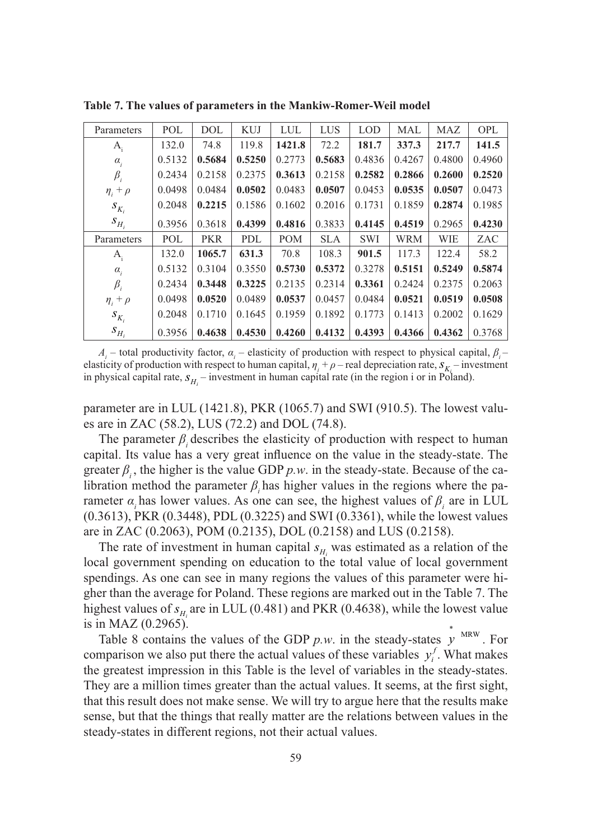| Parameters      | POL    | <b>DOL</b> | <b>KUJ</b> | LUL        | LUS        | <b>LOD</b> | <b>MAL</b> | MAZ    | <b>OPL</b> |
|-----------------|--------|------------|------------|------------|------------|------------|------------|--------|------------|
| $A_i$           | 132.0  | 74.8       | 119.8      | 1421.8     | 72.2       | 181.7      | 337.3      | 217.7  | 141.5      |
| $\alpha_{i}$    | 0.5132 | 0.5684     | 0.5250     | 0.2773     | 0.5683     | 0.4836     | 0.4267     | 0.4800 | 0.4960     |
| $\beta_i$       | 0.2434 | 0.2158     | 0.2375     | 0.3613     | 0.2158     | 0.2582     | 0.2866     | 0.2600 | 0.2520     |
| $\eta_i + \rho$ | 0.0498 | 0.0484     | 0.0502     | 0.0483     | 0.0507     | 0.0453     | 0.0535     | 0.0507 | 0.0473     |
| $S_{K_i}$       | 0.2048 | 0.2215     | 0.1586     | 0.1602     | 0.2016     | 0.1731     | 0.1859     | 0.2874 | 0.1985     |
| $S_{H_i}$       | 0.3956 | 0.3618     | 0.4399     | 0.4816     | 0.3833     | 0.4145     | 0.4519     | 0.2965 | 0.4230     |
| Parameters      | POL    | <b>PKR</b> | PDL        | <b>POM</b> | <b>SLA</b> | <b>SWI</b> | <b>WRM</b> | WIE    | ZAC        |
| $A_i$           | 132.0  | 1065.7     | 631.3      | 70.8       | 108.3      | 901.5      | 117.3      | 122.4  | 58.2       |
| $\alpha_{i}$    | 0.5132 | 0.3104     | 0.3550     | 0.5730     | 0.5372     | 0.3278     | 0.5151     | 0.5249 | 0.5874     |
| $\beta_i$       | 0.2434 | 0.3448     | 0.3225     | 0.2135     | 0.2314     | 0.3361     | 0.2424     | 0.2375 | 0.2063     |
| $\eta_i + \rho$ | 0.0498 | 0.0520     | 0.0489     | 0.0537     | 0.0457     | 0.0484     | 0.0521     | 0.0519 | 0.0508     |
| $S_{K_i}$       | 0.2048 | 0.1710     | 0.1645     | 0.1959     | 0.1892     | 0.1773     | 0.1413     | 0.2002 | 0.1629     |
| $S_{H_i}$       | 0.3956 | 0.4638     | 0.4530     | 0.4260     | 0.4132     | 0.4393     | 0.4366     | 0.4362 | 0.3768     |

**Table 7. The values of parameters in the Mankiw-Romer-Weil model**

 $A_i$  – total productivity factor,  $\alpha_i$  – elasticity of production with respect to physical capital,  $\beta_i$  – elasticity of production with respect to human capital,  $\eta_i + \rho$  – real depreciation rate,  $S_{K_i}$  – investment in physical capital rate,  $s_{H_i}$  – investment in human capital rate (in the region i or in Poland).

parameter are in LUL (1421.8), PKR (1065.7) and SWI (910.5). The lowest values are in ZAC (58.2), LUS (72.2) and DOL (74.8).

The parameter  $\beta$  describes the elasticity of production with respect to human capital. Its value has a very great influence on the value in the steady-state. The greater  $\beta$ , the higher is the value GDP  $p.w.$  in the steady-state. Because of the calibration method the parameter  $\beta$ <sub>i</sub> has higher values in the regions where the parameter *α*<sub>i</sub> has lower values. As one can see, the highest values of  $β$  are in LUL (0.3613), PKR (0.3448), PDL (0.3225) and SWI (0.3361), while the lowest values are in ZAC (0.2063), POM (0.2135), DOL (0.2158) and LUS (0.2158).

The rate of investment in human capital  $s_{H_i}$  was estimated as a relation of the local government spending on education to the total value of local government spendings. As one can see in many regions the values of this parameter were higher than the average for Poland. These regions are marked out in the Table 7. The highest values of  $s_{H_i}$  are in LUL (0.481) and PKR (0.4638), while the lowest value is in MAZ (0.2965).

Table 8 contains the values of the GDP  $p.w.$  in the steady-states  $\dot{y}^{MRW}$ . For comparison we also put there the actual values of these variables  $y_i^f$ . What makes the greatest impression in this Table is the level of variables in the steady-states. They are a million times greater than the actual values. It seems, at the first sight, that this result does not make sense. We will try to argue here that the results make sense, but that the things that really matter are the relations between values in the steady-states in different regions, not their actual values.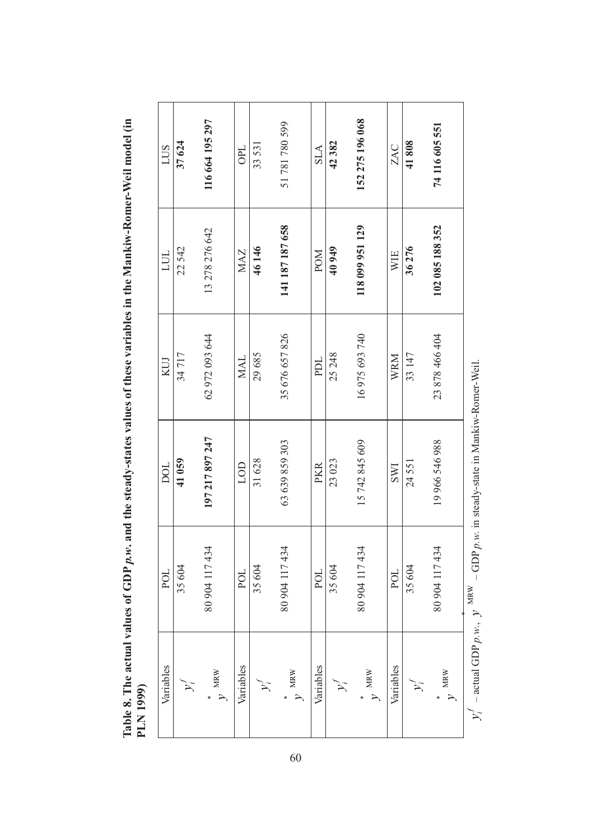| 1                    |         |
|----------------------|---------|
| ì                    |         |
|                      |         |
|                      |         |
|                      |         |
|                      |         |
|                      |         |
|                      |         |
|                      |         |
|                      |         |
|                      |         |
|                      |         |
|                      |         |
|                      |         |
|                      |         |
|                      |         |
|                      |         |
|                      |         |
|                      |         |
| i<br>Fr              |         |
|                      |         |
|                      |         |
|                      |         |
|                      |         |
|                      |         |
|                      |         |
|                      |         |
|                      |         |
|                      |         |
| $\ddot{\phantom{a}}$ |         |
| Table 8. The actua.  |         |
|                      |         |
|                      |         |
|                      | (1999)  |
|                      | N<br>Ia |
|                      |         |

| <b>SUT</b> | 37624 | 116 664 195 297 | OPL        | 33531 | 51781780599                      | <b>SLA</b> | 42382  | 152 275 196 068  | ZAC        | 41808  | 74 116 605 551  |            |
|------------|-------|-----------------|------------|-------|----------------------------------|------------|--------|------------------|------------|--------|-----------------|------------|
| <b>TUL</b> | 22542 | 13 278 276 642  | MAZ        | 46146 | 141 187 187 658                  | <b>NON</b> | 40949  | 118 099 951 129  | WIE        | 36276  | 102 085 188 352 |            |
| KUJ        | 34717 | 62 972 093 644  | <b>MAL</b> | 29685 | 35 676 657 826                   | PDL        | 25 248 | 16975693740      | WRM        | 33 147 | 23 878 466 404  |            |
| DOL        | 41059 | 197 217 897 247 | LOD        | 31628 | 63 639 859 303                   | PKR        | 23023  | 15 742 845 609   | <b>IMS</b> | 24551  | 19 966 546 988  |            |
| POL        | 35604 | 80 904 117 434  | POL        | 35604 | 80 904 117 434                   | POL        | 35604  | 80 904 117 434   | POL        | 35604  | 80 904 117 434  | <b>MDW</b> |
| Variables  |       | $v$ MRW         | Variables  |       | $_{\rm \nu}$<br>$_{\rm \rm MRW}$ | Variables  |        | $\mathbf{v}$ MRW | Variables  |        | $M\nu$          |            |

 $y_i^f$  – actual GDP  $p.w.,$  $y_i^f$  – actual GDP  $p, w, y$  MRW – GDP  $p, w$ . in steady-state in Mankiw-Romer-Weil. *y* MRW – GDP *p.w*. in steady-state in Mankiw-Romer-Weil.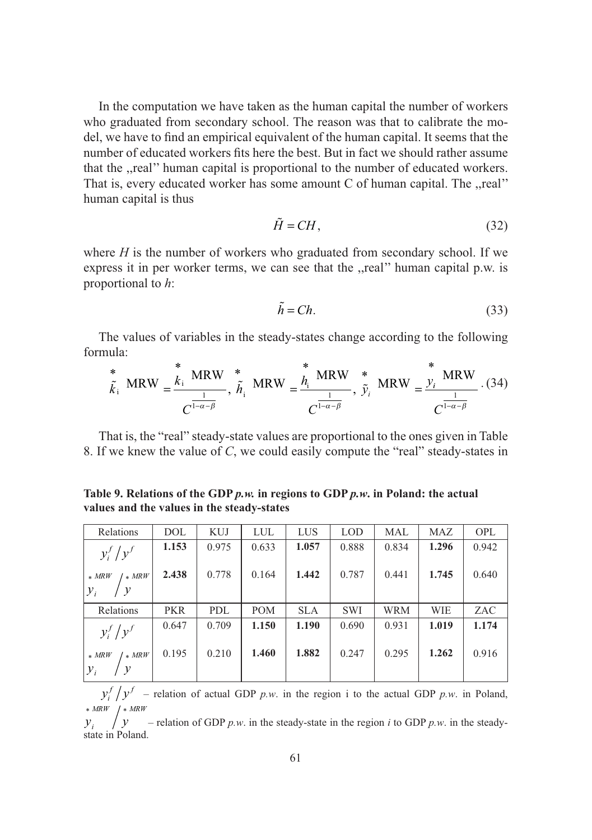In the computation we have taken as the human capital the number of workers who graduated from secondary school. The reason was that to calibrate the model, we have to find an empirical equivalent of the human capital. It seems that the number of educated workers fits here the best. But in fact we should rather assume that the ,,real'' human capital is proportional to the number of educated workers. That is, every educated worker has some amount C of human capital. The ,,real'' human capital is thus

$$
\tilde{H} = CH, \tag{32}
$$

where *H* is the number of workers who graduated from secondary school. If we express it in per worker terms, we can see that the ,,real'' human capital p.w. is proportional to *h*:

$$
\tilde{h} = Ch. \tag{33}
$$

The values of variables in the steady-states change according to the following formula:

$$
\frac{\stackrel{*}{\tilde{k}}_{i} \text{ MRW}}{C^{\frac{1}{1-\alpha-\beta}}}, \frac{\stackrel{*}{\tilde{h}}_{i} \text{ MRW}}{C^{\frac{1}{1-\alpha-\beta}}}, \frac{\stackrel{*}{\tilde{h}}_{i} \text{ MRW}}{C^{\frac{1}{1-\alpha-\beta}}}, \frac{\stackrel{*}{\tilde{v}}_{i} \text{ MRW}}{C^{\frac{1}{1-\alpha-\beta}}} \cdot \frac{\stackrel{*}{\tilde{h}} \text{ MRW}}{C^{\frac{1}{1-\alpha-\beta}}} \cdot (34)
$$

That is, the "real" steady-state values are proportional to the ones given in Table 8. If we knew the value of *C*, we could easily compute the "real" steady-states in

**Table 9. Relations of the GDP** *p.w.* **in regions to GDP** *p.w***. in Poland: the actual values and the values in the steady-states**

| Relations                                    | DOL        | KUJ        | LUL        | LUS        | <b>LOD</b> | MAL        | <b>MAZ</b> | <b>OPL</b> |
|----------------------------------------------|------------|------------|------------|------------|------------|------------|------------|------------|
| $y_i^f/y^f$                                  | 1.153      | 0.975      | 0.633      | 1.057      | 0.888      | 0.834      | 1.296      | 0.942      |
| $/* MRW$<br>$*$ MRW<br>$\mathcal{Y}_i$<br>/y | 2.438      | 0.778      | 0.164      | 1.442      | 0.787      | 0.441      | 1.745      | 0.640      |
| Relations                                    | <b>PKR</b> | <b>PDL</b> | <b>POM</b> | <b>SLA</b> | <b>SWI</b> | <b>WRM</b> | <b>WIE</b> | ZAC        |
| $y_i^f/y^f$                                  | 0.647      | 0.709      | 1.150      | 1.190      | 0.690      | 0.931      | 1.019      | 1.174      |
| $\frac{1}{k}$ MRW<br>$*$ MRW<br>$y_i$        | 0.195      | 0.210      | 1.460      | 1.882      | 0.247      | 0.295      | 1.262      | 0.916      |

 $y_i^f / y^f$  – relation of actual GDP *p.w.* in the region i to the actual GDP *p.w.* in Poland,  $* MRW$  /  $* MRW$ 

 $y_i$  /  $y$  – relation of GDP *p.w.* in the steady-state in the region *i* to GDP *p.w.* in the steadystate in Poland.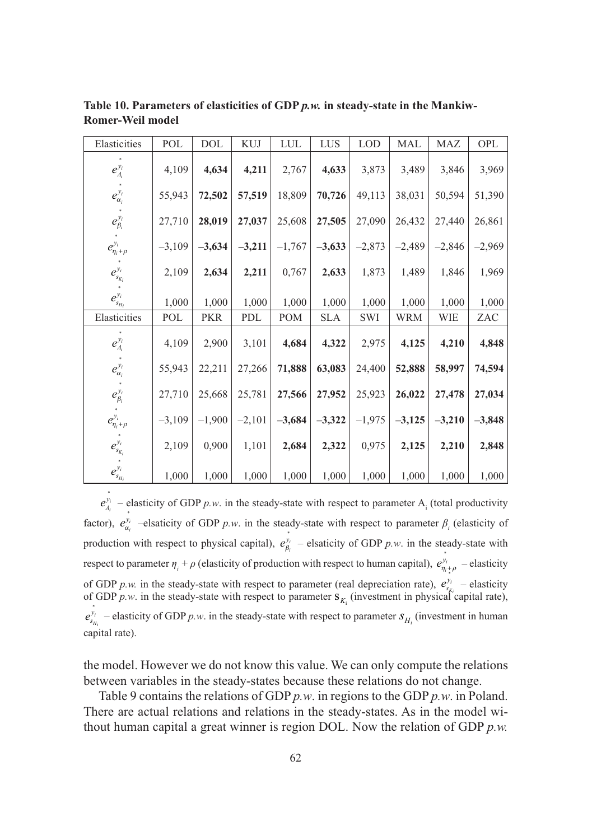| Elasticities                                          | POL      | $\rm DOL$  | KUJ      | ${\rm LUL}$ | LUS        | $\mathop{\rm LOD}\nolimits$ | MAL        | MAZ      | OPL      |
|-------------------------------------------------------|----------|------------|----------|-------------|------------|-----------------------------|------------|----------|----------|
| $e_{A_i}^{y_i}$                                       | 4,109    | 4,634      | 4,211    | 2,767       | 4,633      | 3,873                       | 3,489      | 3,846    | 3,969    |
| $e_{\alpha_i}^{y_i}$                                  | 55,943   | 72,502     | 57,519   | 18,809      | 70,726     | 49,113                      | 38,031     | 50,594   | 51,390   |
| $e_{\beta_i}^{y_i}$                                   | 27,710   | 28,019     | 27,037   | 25,608      | 27,505     | 27,090                      | 26,432     | 27,440   | 26,861   |
| $e_{\eta_i+\rho}^{y_i}$                               | $-3,109$ | $-3,634$   | $-3,211$ | $-1,767$    | $-3,633$   | $-2,873$                    | $-2,489$   | $-2,846$ | $-2,969$ |
| $e_{s_{K_i}}^{y_i}$                                   | 2,109    | 2,634      | 2,211    | 0,767       | 2,633      | 1,873                       | 1,489      | 1,846    | 1,969    |
| $e_{s_H}^{y_i}$                                       | 1,000    | 1,000      | 1,000    | 1,000       | 1,000      | 1,000                       | 1,000      | 1,000    | 1,000    |
| Elasticities                                          | POL      | <b>PKR</b> | PDL      | POM         | <b>SLA</b> | SWI                         | <b>WRM</b> | WIE      | ZAC      |
| $e_{\scriptscriptstyle A_i}^{\scriptscriptstyle y_i}$ | 4,109    | 2,900      | 3,101    | 4,684       | 4,322      | 2,975                       | 4,125      | 4,210    | 4,848    |
| $e_{\alpha_i}^{y_i}$                                  | 55,943   | 22,211     | 27,266   | 71,888      | 63,083     | 24,400                      | 52,888     | 58,997   | 74,594   |
| $e_{\beta_i}^{y_i}$                                   | 27,710   | 25,668     | 25,781   | 27,566      | 27,952     | 25,923                      | 26,022     | 27,478   | 27,034   |
| $e_{\eta_i+\rho}^{y_i}$                               | $-3,109$ | $-1,900$   | $-2,101$ | $-3,684$    | $-3,322$   | $-1,975$                    | $-3,125$   | $-3,210$ | $-3,848$ |
| $\mathcal{C}_{s_{K_i}}^{y_i}$                         | 2,109    | 0,900      | 1,101    | 2,684       | 2,322      | 0,975                       | 2,125      | 2,210    | 2,848    |
| $\mathcal{C}_{s_{H_i}}^{y_i}$                         | 1,000    | 1,000      | 1,000    | 1,000       | 1,000      | 1,000                       | 1,000      | 1,000    | 1,000    |

**Table 10. Parameters of elasticities of GDP** *p.w.* **in steady-state in the Mankiw-Romer-Weil model**

 $e_A^y$  $a_{i}$ <sup>*i*</sup></sup> – elasticity of GDP *p.w.* in the steady-state with respect to parameter A<sub>i</sub> (total productivity factor),  $e_{\alpha_i}^{y_i}$ <sup>\*<sub>i</sub></sup> –elsaticity of GDP *p.w.* in the steady-state with respect to parameter  $\beta$ <sub>i</sub> (elasticity of production with respect to physical capital),  $e_{\beta}^{y_i}$  $\sum_{i=1}^{n_i}$  – elsaticity of GDP *p.w.* in the steady-state with respect to parameter  $\eta_i + \rho$  (elasticity of production with respect to human capital),  $e_{\eta_i + \rho}^{y_i}$  $v_i$ <sub> $v_{i+o}$ </sub> – elasticity of GDP *p.w.* in the steady-state with respect to parameter (real depreciation rate),  $e_{s_{K}}^{y_i}$  – elasticity of GDP *p.w.* in the steady-state with respect to parameter  $s_{K_i}$  (investment in physical capital rate), \*  $e_{s}^y$  $\frac{h_{\mu}^{i}}{H_{H_{i}}}$  – elasticity of GDP *p.w.* in the steady-state with respect to parameter  $s_{H_{i}}$  (investment in human capital rate).

the model. However we do not know this value. We can only compute the relations between variables in the steady-states because these relations do not change.

Table 9 contains the relations of GDP *p.w*. in regions to the GDP *p.w*. in Poland. There are actual relations and relations in the steady-states. As in the model without human capital a great winner is region DOL. Now the relation of GDP *p.w.*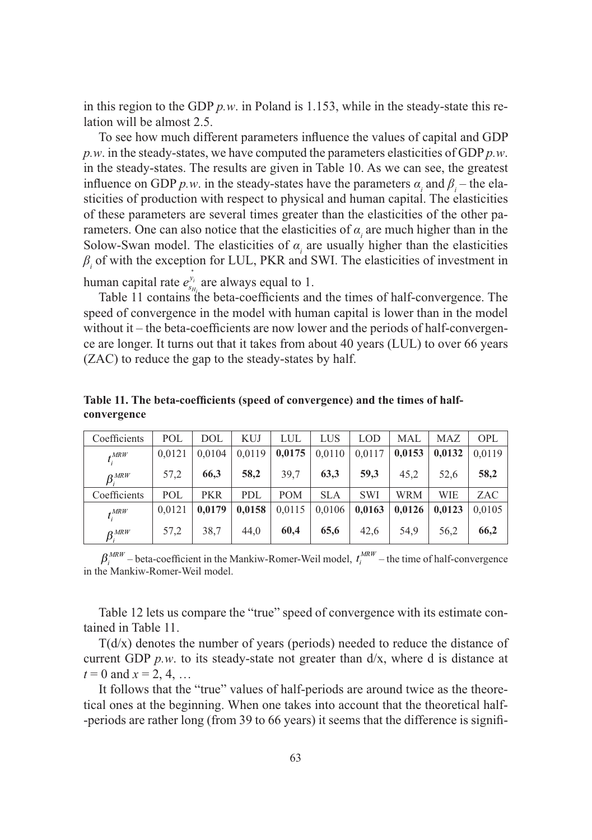in this region to the GDP *p.w*. in Poland is 1.153, while in the steady-state this relation will be almost 2.5.

To see how much different parameters influence the values of capital and GDP *p.w*. in the steady-states, we have computed the parameters elasticities of GDP *p.w*. in the steady-states. The results are given in Table 10. As we can see, the greatest influence on GDP *p.w.* in the steady-states have the parameters  $\alpha_i$  and  $\beta_i$  – the elasticities of production with respect to physical and human capital. The elasticities of these parameters are several times greater than the elasticities of the other parameters. One can also notice that the elasticities of  $\alpha$ <sub>i</sub> are much higher than in the Solow-Swan model. The elasticities of  $\alpha$ <sub>i</sub> are usually higher than the elasticities  $\beta$ <sub>i</sub> of with the exception for LUL, PKR and SWI. The elasticities of investment in

human capital rate  $e_{s}^y$  $\int_{H_{i_4}}^{\phi_i}$  are always equal to 1.

Table 11 contains the beta-coefficients and the times of half-convergence. The speed of convergence in the model with human capital is lower than in the model without it – the beta-coefficients are now lower and the periods of half-convergence are longer. It turns out that it takes from about 40 years (LUL) to over 66 years (ZAC) to reduce the gap to the steady-states by half.

| Coefficients                                            | POL    | DOL        | <b>KUJ</b> | LUL        | LUS        | <b>LOD</b> | MAL        | MAZ    | <b>OPL</b> |
|---------------------------------------------------------|--------|------------|------------|------------|------------|------------|------------|--------|------------|
| $t_i^{MRW}$                                             | 0.0121 | 0.0104     | 0,0119     | 0,0175     | 0,0110     | 0.0117     | 0,0153     | 0.0132 | 0.0119     |
| $\beta_{i}^{MRW}$                                       | 57,2   | 66,3       | 58,2       | 39,7       | 63,3       | 59.3       | 45,2       | 52,6   | 58,2       |
| Coefficients                                            | POL    | <b>PKR</b> | PDL        | <b>POM</b> | <b>SLA</b> | <b>SWI</b> | <b>WRM</b> | WIE    | ZAC        |
| $*^{MRW}$                                               | 0.0121 | 0.0179     | 0,0158     | 0,0115     | 0.0106     | 0.0163     | 0.0126     | 0.0123 | 0.0105     |
| $\beta_{\scriptscriptstyle i}^{\scriptscriptstyle MRW}$ | 57,2   | 38,7       | 44.0       | 60,4       | 65,6       | 42.6       | 54,9       | 56,2   | 66,2       |

**Table 11. The beta-coefficients (speed of convergence) and the times of halfconvergence**

 $\beta_i^{MRW}$  – beta-coefficient in the Mankiw-Romer-Weil model,  $t_i^{MRW}$  – the time of half-convergence in the Mankiw-Romer-Weil model.

Table 12 lets us compare the "true" speed of convergence with its estimate contained in Table 11.

 $T(d/x)$  denotes the number of years (periods) needed to reduce the distance of current GDP  $p.w.$  to its steady-state not greater than  $d/x$ , where d is distance at  $t = 0$  and  $x = 2, 4, ...$ 

It follows that the "true" values of half-periods are around twice as the theoretical ones at the beginning. When one takes into account that the theoretical half- -periods are rather long (from 39 to 66 years) it seems that the difference is signifi-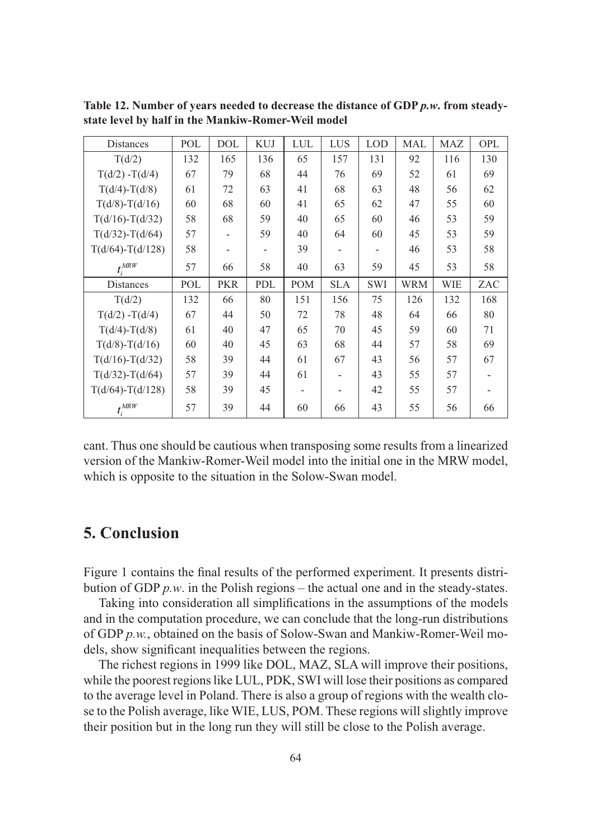| Distances            | POL | <b>DOL</b> | <b>KUJ</b> | <b>LUL</b> | LUS                      | <b>LOD</b> | MAL        | <b>MAZ</b> | <b>OPL</b> |
|----------------------|-----|------------|------------|------------|--------------------------|------------|------------|------------|------------|
| T(d/2)               | 132 | 165        | 136        | 65         | 157                      | 131        | 92         | 116        | 130        |
| $T(d/2) - T(d/4)$    | 67  | 79         | 68         | 44         | 76                       | 69         | 52         | 61         | 69         |
| $T(d/4) - T(d/8)$    | 61  | 72         | 63         | 41         | 68                       | 63         | 48         | 56         | 62         |
| $T(d/8) - T(d/16)$   | 60  | 68         | 60         | 41         | 65                       | 62         | 47         | 55         | 60         |
| $T(d/16) - T(d/32)$  | 58  | 68         | 59         | 40         | 65                       | 60         | 46         | 53         | 59         |
| $T(d/32) - T(d/64)$  | 57  |            | 59         | 40         | 64                       | 60         | 45         | 53         | 59         |
| $T(d/64) - T(d/128)$ | 58  |            |            | 39         |                          |            | 46         | 53         | 58         |
| $t_i^{MRW}$          | 57  | 66         | 58         | 40         | 63                       | 59         | 45         | 53         | 58         |
| Distances            | POL | <b>PKR</b> | PDL        | <b>POM</b> | <b>SLA</b>               | <b>SWI</b> | <b>WRM</b> | WIE        | ZAC        |
| T(d/2)               | 132 | 66         | 80         | 151        | 156                      | 75         | 126        | 132        | 168        |
| $T(d/2) - T(d/4)$    | 67  | 44         | 50         | 72         | 78                       | 48         | 64         | 66         | 80         |
| $T(d/4) - T(d/8)$    | 61  | 40         | 47         | 65         | 70                       | 45         | 59         | 60         | 71         |
| $T(d/8) - T(d/16)$   | 60  | 40         | 45         | 63         | 68                       | 44         | 57         | 58         | 69         |
| $T(d/16) - T(d/32)$  | 58  | 39         | 44         | 61         | 67                       | 43         | 56         | 57         | 67         |
| $T(d/32) - T(d/64)$  | 57  | 39         | 44         | 61         | $\overline{\phantom{0}}$ | 43         | 55         | 57         |            |
| $T(d/64) - T(d/128)$ | 58  | 39         | 45         |            |                          | 42         | 55         | 57         |            |
| $t^{MRW}_i$          | 57  | 39         | 44         | 60         | 66                       | 43         | 55         | 56         | 66         |

**Table 12. Number of years needed to decrease the distance of GDP** *p.w***. from steadystate level by half in the Mankiw-Romer-Weil model**

cant. Thus one should be cautious when transposing some results from a linearized version of the Mankiw-Romer-Weil model into the initial one in the MRW model, which is opposite to the situation in the Solow-Swan model.

# **5. Conclusion**

Figure 1 contains the final results of the performed experiment. It presents distribution of GDP *p.w*. in the Polish regions – the actual one and in the steady-states.

Taking into consideration all simplifications in the assumptions of the models and in the computation procedure, we can conclude that the long-run distributions of GDP *p.w.*, obtained on the basis of Solow-Swan and Mankiw-Romer-Weil models, show significant inequalities between the regions.

The richest regions in 1999 like DOL, MAZ, SLA will improve their positions, while the poorest regions like LUL, PDK, SWI will lose their positions as compared to the average level in Poland. There is also a group of regions with the wealth close to the Polish average, like WIE, LUS, POM. These regions will slightly improve their position but in the long run they will still be close to the Polish average.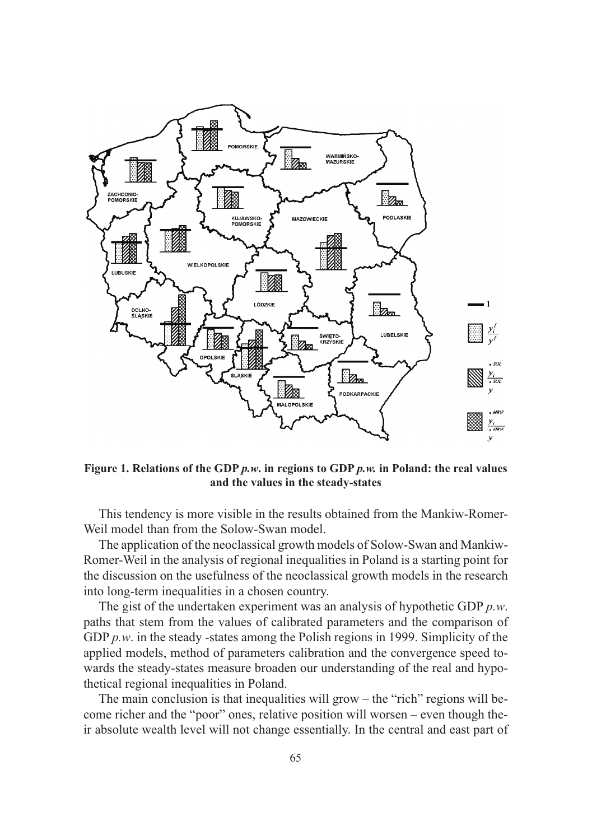

**Figure 1. Relations of the GDP** *p.w***. in regions to GDP** *p.w.* **in Poland: the real values and the values in the steady-states**

This tendency is more visible in the results obtained from the Mankiw-Romer-Weil model than from the Solow-Swan model.

The application of the neoclassical growth models of Solow-Swan and Mankiw-Romer-Weil in the analysis of regional inequalities in Poland is a starting point for the discussion on the usefulness of the neoclassical growth models in the research into long-term inequalities in a chosen country.

The gist of the undertaken experiment was an analysis of hypothetic GDP *p.w*. paths that stem from the values of calibrated parameters and the comparison of GDP *p.w.* in the steady -states among the Polish regions in 1999. Simplicity of the applied models, method of parameters calibration and the convergence speed towards the steady-states measure broaden our understanding of the real and hypothetical regional inequalities in Poland.

The main conclusion is that inequalities will grow – the "rich" regions will become richer and the "poor" ones, relative position will worsen – even though their absolute wealth level will not change essentially. In the central and east part of